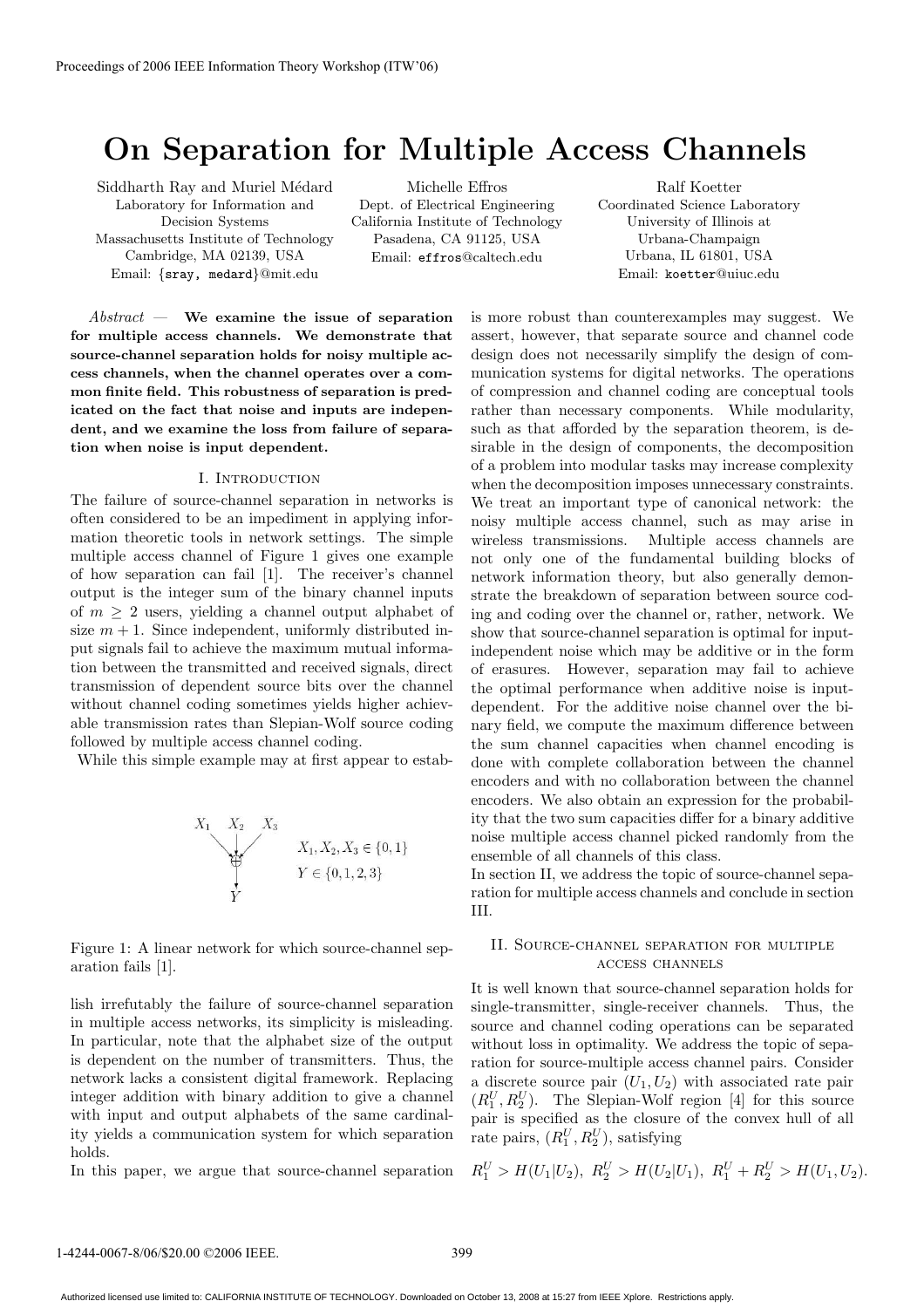# **On Separation for Multiple Access Channels**

Siddharth Ray and Muriel Médard Laboratory for Information and Decision Systems Massachusetts Institute of Technology Cambridge, MA 02139, USA Email: {sray, medard}@mit.edu

Michelle Effros Dept. of Electrical Engineering California Institute of Technology Pasadena, CA 91125, USA Email: effros@caltech.edu

Ralf Koetter Coordinated Science Laboratory University of Illinois at Urbana-Champaign Urbana, IL 61801, USA Email: koetter@uiuc.edu

Abstract — **We examine the issue of separation for multiple access channels. We demonstrate that source-channel separation holds for noisy multiple access channels, when the channel operates over a common finite field. This robustness of separation is predicated on the fact that noise and inputs are independent, and we examine the loss from failure of separation when noise is input dependent.**

#### I. Introduction

The failure of source-channel separation in networks is often considered to be an impediment in applying information theoretic tools in network settings. The simple multiple access channel of Figure 1 gives one example of how separation can fail [1]. The receiver's channel output is the integer sum of the binary channel inputs of  $m \geq 2$  users, yielding a channel output alphabet of size  $m + 1$ . Since independent, uniformly distributed input signals fail to achieve the maximum mutual information between the transmitted and received signals, direct transmission of dependent source bits over the channel without channel coding sometimes yields higher achievable transmission rates than Slepian-Wolf source coding followed by multiple access channel coding.

While this simple example may at first appear to estab-

$$
X_1 \xrightarrow{X_2} X_3
$$
  
\n
$$
X_1, X_2, X_3 \in \{0, 1\}
$$
  
\n
$$
Y \in \{0, 1, 2, 3\}
$$

Figure 1: A linear network for which source-channel separation fails [1].

lish irrefutably the failure of source-channel separation in multiple access networks, its simplicity is misleading. In particular, note that the alphabet size of the output is dependent on the number of transmitters. Thus, the network lacks a consistent digital framework. Replacing integer addition with binary addition to give a channel with input and output alphabets of the same cardinality yields a communication system for which separation holds.

In this paper, we argue that source-channel separation

is more robust than counterexamples may suggest. We assert, however, that separate source and channel code design does not necessarily simplify the design of communication systems for digital networks. The operations of compression and channel coding are conceptual tools rather than necessary components. While modularity, such as that afforded by the separation theorem, is desirable in the design of components, the decomposition of a problem into modular tasks may increase complexity when the decomposition imposes unnecessary constraints. We treat an important type of canonical network: the noisy multiple access channel, such as may arise in wireless transmissions. Multiple access channels are not only one of the fundamental building blocks of network information theory, but also generally demonstrate the breakdown of separation between source coding and coding over the channel or, rather, network. We show that source-channel separation is optimal for inputindependent noise which may be additive or in the form of erasures. However, separation may fail to achieve the optimal performance when additive noise is inputdependent. For the additive noise channel over the binary field, we compute the maximum difference between the sum channel capacities when channel encoding is done with complete collaboration between the channel encoders and with no collaboration between the channel encoders. We also obtain an expression for the probability that the two sum capacities differ for a binary additive noise multiple access channel picked randomly from the ensemble of all channels of this class.

In section II, we address the topic of source-channel separation for multiple access channels and conclude in section III.

### II. Source-channel separation for multiple access channels

It is well known that source-channel separation holds for single-transmitter, single-receiver channels. Thus, the source and channel coding operations can be separated without loss in optimality. We address the topic of separation for source-multiple access channel pairs. Consider a discrete source pair  $(U_1, U_2)$  with associated rate pair  $(R_1^U, R_2^U)$ . The Slepian-Wolf region [4] for this source pair is specified as the closure of the convex hull of all rate pairs,  $(R_1^U, R_2^U)$ , satisfying

$$
R_1^U > H(U_1|U_2), R_2^U > H(U_2|U_1), R_1^U + R_2^U > H(U_1, U_2).
$$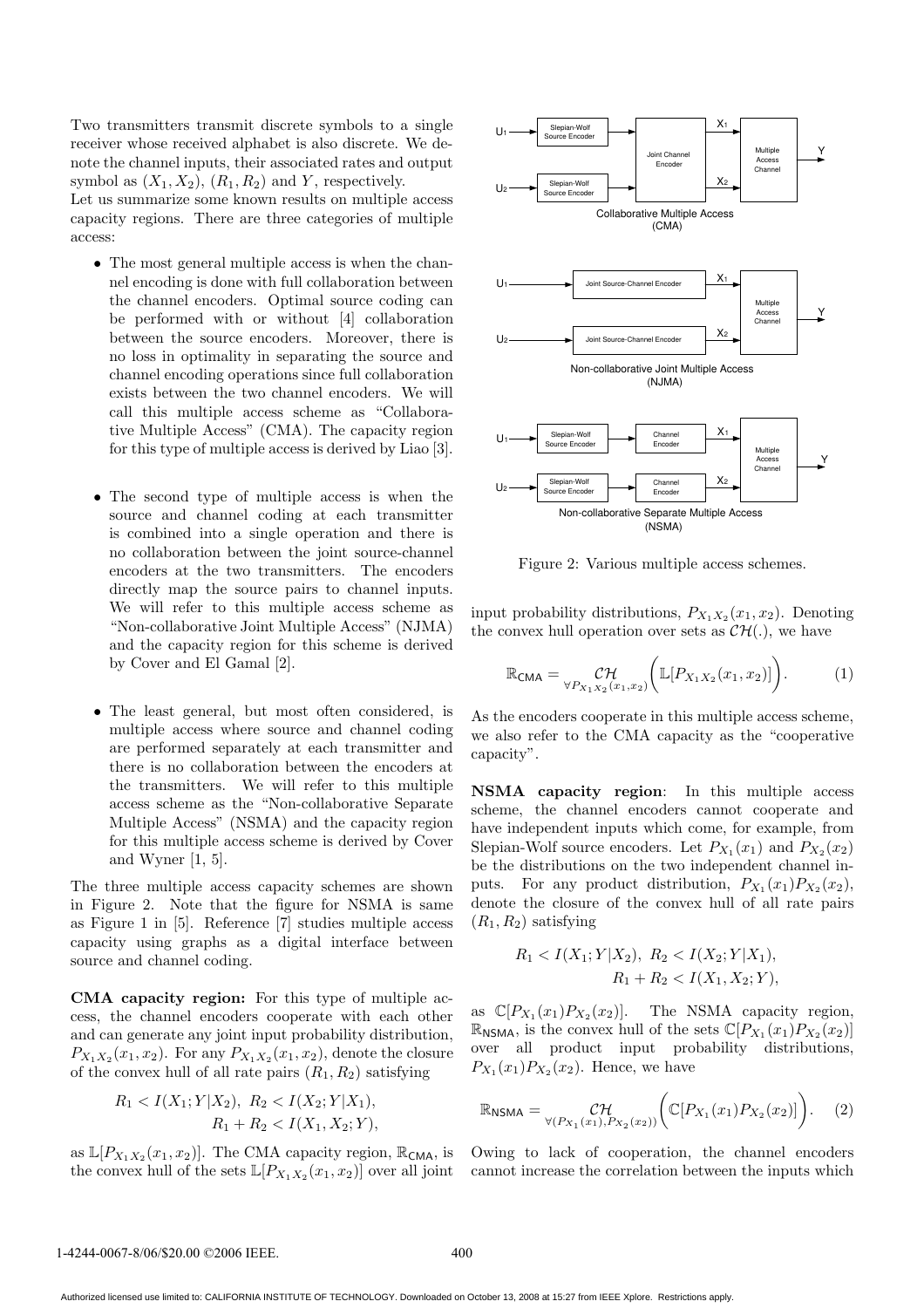Two transmitters transmit discrete symbols to a single receiver whose received alphabet is also discrete. We denote the channel inputs, their associated rates and output symbol as  $(X_1, X_2)$ ,  $(R_1, R_2)$  and Y, respectively.

Let us summarize some known results on multiple access capacity regions. There are three categories of multiple access:

- The most general multiple access is when the channel encoding is done with full collaboration between the channel encoders. Optimal source coding can be performed with or without [4] collaboration between the source encoders. Moreover, there is no loss in optimality in separating the source and channel encoding operations since full collaboration exists between the two channel encoders. We will call this multiple access scheme as "Collaborative Multiple Access" (CMA). The capacity region for this type of multiple access is derived by Liao [3].
- The second type of multiple access is when the source and channel coding at each transmitter is combined into a single operation and there is no collaboration between the joint source-channel encoders at the two transmitters. The encoders directly map the source pairs to channel inputs. We will refer to this multiple access scheme as "Non-collaborative Joint Multiple Access" (NJMA) and the capacity region for this scheme is derived by Cover and El Gamal [2].
- The least general, but most often considered, is multiple access where source and channel coding are performed separately at each transmitter and there is no collaboration between the encoders at the transmitters. We will refer to this multiple access scheme as the "Non-collaborative Separate Multiple Access" (NSMA) and the capacity region for this multiple access scheme is derived by Cover and Wyner [1, 5].

The three multiple access capacity schemes are shown in Figure 2. Note that the figure for NSMA is same as Figure 1 in [5]. Reference [7] studies multiple access capacity using graphs as a digital interface between source and channel coding.

**CMA capacity region:** For this type of multiple access, the channel encoders cooperate with each other and can generate any joint input probability distribution,  $P_{X_1X_2}(x_1, x_2)$ . For any  $P_{X_1X_2}(x_1, x_2)$ , denote the closure of the convex hull of all rate pairs  $(R_1, R_2)$  satisfying

$$
R_1 < I(X_1; Y | X_2), \ R_2 < I(X_2; Y | X_1), \\
R_1 + R_2 < I(X_1, X_2; Y),
$$

as  $\mathbb{L}[P_{X_1X_2}(x_1,x_2)]$ . The CMA capacity region,  $\mathbb{R}_{\text{CMA}}$ , is the convex hull of the sets  $\mathbb{L}[P_{X_1X_2}(x_1,x_2)]$  over all joint



Figure 2: Various multiple access schemes.

input probability distributions,  $P_{X_1X_2}(x_1, x_2)$ . Denoting the convex hull operation over sets as  $\mathcal{CH}(.)$ , we have

$$
\mathbb{R}_{\text{CMA}} = \mathcal{CH}_{\forall P_{X_1 X_2}(x_1, x_2)} \bigg( \mathbb{L}[P_{X_1 X_2}(x_1, x_2)] \bigg). \tag{1}
$$

As the encoders cooperate in this multiple access scheme, we also refer to the CMA capacity as the "cooperative capacity".

**NSMA capacity region**: In this multiple access scheme, the channel encoders cannot cooperate and have independent inputs which come, for example, from Slepian-Wolf source encoders. Let  $P_{X_1}(x_1)$  and  $P_{X_2}(x_2)$ be the distributions on the two independent channel inputs. For any product distribution,  $P_{X_1}(x_1)P_{X_2}(x_2)$ , denote the closure of the convex hull of all rate pairs  $(R_1, R_2)$  satisfying

$$
R_1 < I(X_1; Y | X_2), \ R_2 < I(X_2; Y | X_1), \\
R_1 + R_2 < I(X_1, X_2; Y),
$$

as  $\mathbb{C}[P_{X_1}(x_1)P_{X_2}(x_2)].$  The NSMA capacity region,  $\mathbb{R}_{NSMA}$ , is the convex hull of the sets  $\mathbb{C}[P_{X_1}(x_1)P_{X_2}(x_2)]$ over all product input probability distributions,  $P_{X_1}(x_1)P_{X_2}(x_2)$ . Hence, we have

$$
\mathbb{R}_{\text{NSMA}} = \mathcal{CH}_{\forall (P_{X_1}(x_1), P_{X_2}(x_2))} \bigg( \mathbb{C}[P_{X_1}(x_1) P_{X_2}(x_2)] \bigg). \tag{2}
$$

Owing to lack of cooperation, the channel encoders cannot increase the correlation between the inputs which

#### 1-4244-0067-8/06/\$20.00 ©2006 IEEE. 400

Authorized licensed use limited to: CALIFORNIA INSTITUTE OF TECHNOLOGY. Downloaded on October 13, 2008 at 15:27 from IEEE Xplore. Restrictions apply.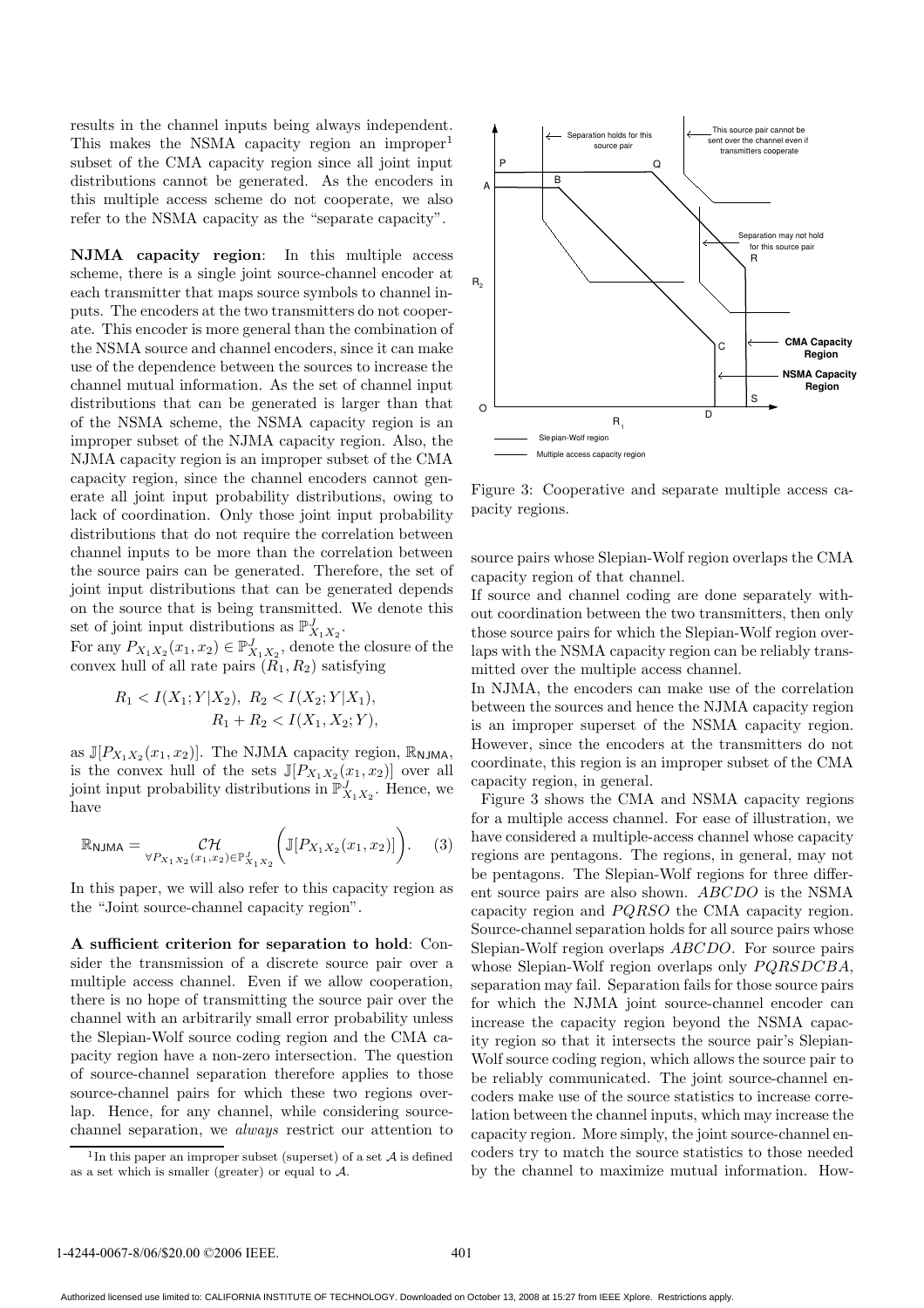results in the channel inputs being always independent. This makes the NSMA capacity region an improper<sup>1</sup> subset of the CMA capacity region since all joint input distributions cannot be generated. As the encoders in this multiple access scheme do not cooperate, we also refer to the NSMA capacity as the "separate capacity".

**NJMA capacity region**: In this multiple access scheme, there is a single joint source-channel encoder at each transmitter that maps source symbols to channel inputs. The encoders at the two transmitters do not cooperate. This encoder is more general than the combination of the NSMA source and channel encoders, since it can make use of the dependence between the sources to increase the channel mutual information. As the set of channel input distributions that can be generated is larger than that of the NSMA scheme, the NSMA capacity region is an improper subset of the NJMA capacity region. Also, the NJMA capacity region is an improper subset of the CMA capacity region, since the channel encoders cannot generate all joint input probability distributions, owing to lack of coordination. Only those joint input probability distributions that do not require the correlation between channel inputs to be more than the correlation between the source pairs can be generated. Therefore, the set of joint input distributions that can be generated depends on the source that is being transmitted. We denote this set of joint input distributions as  $\mathbb{P}^{J}_{X_1 X_2}$ .

For any  $P_{X_1X_2}(x_1, x_2) \in \mathbb{P}^J_{X_1X_2}$ , denote the closure of the convex hull of all rate pairs  $(R_1, R_2)$  satisfying

$$
R_1 < I(X_1; Y | X_2), \ R_2 < I(X_2; Y | X_1), \\
R_1 + R_2 < I(X_1, X_2; Y),
$$

as  $\mathbb{J}[P_{X_1X_2}(x_1,x_2)]$ . The NJMA capacity region,  $\mathbb{R}_{\text{NJMA}}$ , is the convex hull of the sets  $\mathbb{J}[P_{X_1X_2}(x_1,x_2)]$  over all joint input probability distributions in  $\mathbb{P}^{J}_{X_1X_2}$ . Hence, we have

$$
\mathbb{R}_{\text{NJMA}} = \mathcal{CH}_{\forall P_{X_1 X_2}(x_1, x_2) \in \mathbb{P}_{X_1 X_2}^J} \bigg( \mathbb{J}[P_{X_1 X_2}(x_1, x_2)] \bigg). \tag{3}
$$

In this paper, we will also refer to this capacity region as the "Joint source-channel capacity region".

**A sufficient criterion for separation to hold**: Consider the transmission of a discrete source pair over a multiple access channel. Even if we allow cooperation, there is no hope of transmitting the source pair over the channel with an arbitrarily small error probability unless the Slepian-Wolf source coding region and the CMA capacity region have a non-zero intersection. The question of source-channel separation therefore applies to those source-channel pairs for which these two regions overlap. Hence, for any channel, while considering sourcechannel separation, we always restrict our attention to



Figure 3: Cooperative and separate multiple access capacity regions.

source pairs whose Slepian-Wolf region overlaps the CMA capacity region of that channel.

If source and channel coding are done separately without coordination between the two transmitters, then only those source pairs for which the Slepian-Wolf region overlaps with the NSMA capacity region can be reliably transmitted over the multiple access channel.

In NJMA, the encoders can make use of the correlation between the sources and hence the NJMA capacity region is an improper superset of the NSMA capacity region. However, since the encoders at the transmitters do not coordinate, this region is an improper subset of the CMA capacity region, in general.

Figure 3 shows the CMA and NSMA capacity regions for a multiple access channel. For ease of illustration, we have considered a multiple-access channel whose capacity regions are pentagons. The regions, in general, may not be pentagons. The Slepian-Wolf regions for three different source pairs are also shown. ABCDO is the NSMA capacity region and PORSO the CMA capacity region. Source-channel separation holds for all source pairs whose Slepian-Wolf region overlaps ABCDO. For source pairs whose Slepian-Wolf region overlaps only  $PQRSDCBA$ , separation may fail. Separation fails for those source pairs for which the NJMA joint source-channel encoder can increase the capacity region beyond the NSMA capacity region so that it intersects the source pair's Slepian-Wolf source coding region, which allows the source pair to be reliably communicated. The joint source-channel encoders make use of the source statistics to increase correlation between the channel inputs, which may increase the capacity region. More simply, the joint source-channel encoders try to match the source statistics to those needed by the channel to maximize mutual information. How-

1-4244-0067-8/06/\$20.00 ©2006 IEEE. 401

<sup>&</sup>lt;sup>1</sup>In this paper an improper subset (superset) of a set  $A$  is defined as a set which is smaller (greater) or equal to  $A$ .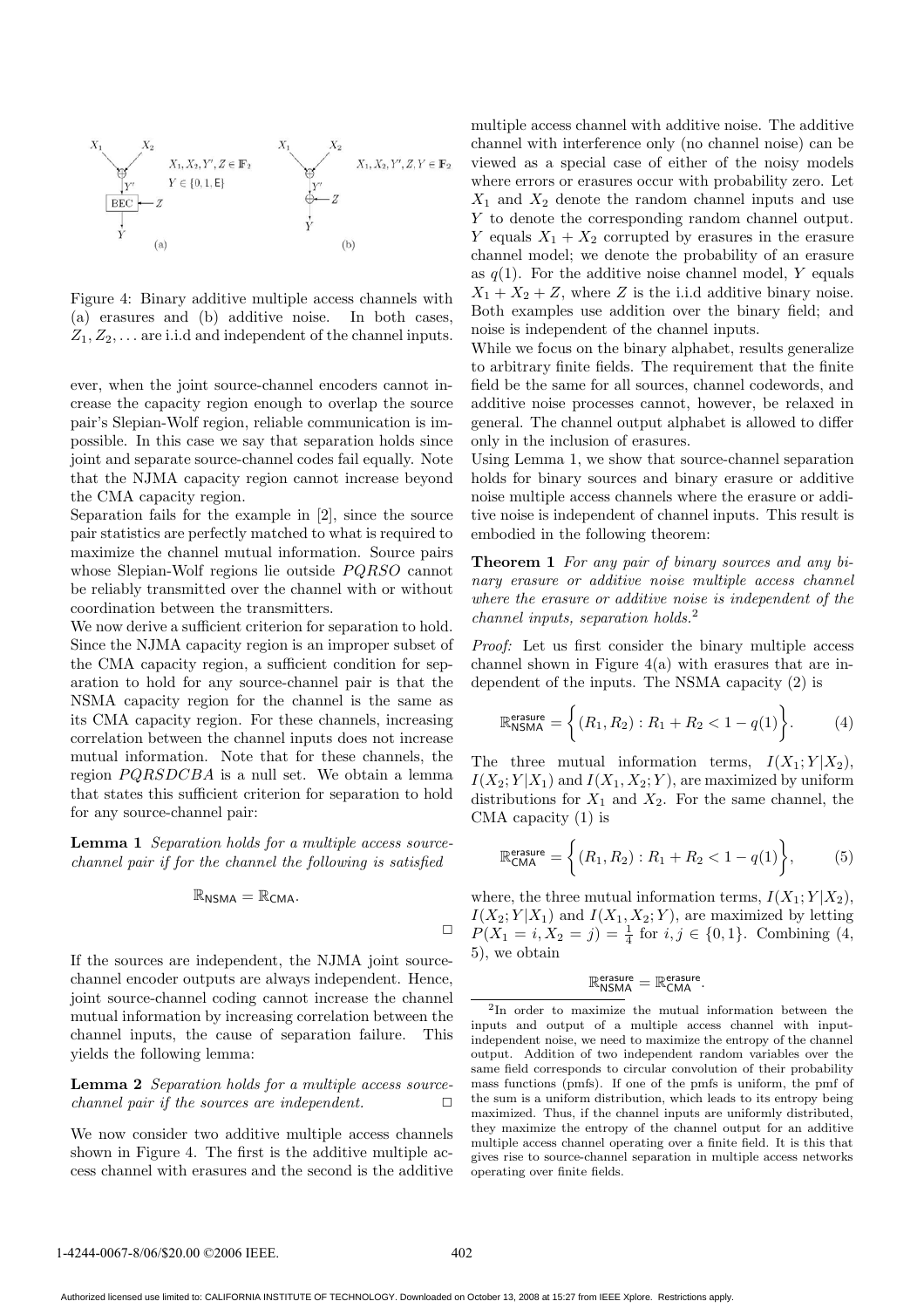

Figure 4: Binary additive multiple access channels with (a) erasures and (b) additive noise. In both cases,  $Z_1, Z_2, \ldots$  are i.i.d and independent of the channel inputs.

ever, when the joint source-channel encoders cannot increase the capacity region enough to overlap the source pair's Slepian-Wolf region, reliable communication is impossible. In this case we say that separation holds since joint and separate source-channel codes fail equally. Note that the NJMA capacity region cannot increase beyond the CMA capacity region.

Separation fails for the example in [2], since the source pair statistics are perfectly matched to what is required to maximize the channel mutual information. Source pairs whose Slepian-Wolf regions lie outside *PORSO* cannot be reliably transmitted over the channel with or without coordination between the transmitters.

We now derive a sufficient criterion for separation to hold. Since the NJMA capacity region is an improper subset of the CMA capacity region, a sufficient condition for separation to hold for any source-channel pair is that the NSMA capacity region for the channel is the same as its CMA capacity region. For these channels, increasing correlation between the channel inputs does not increase mutual information. Note that for these channels, the region  $PQRSDCBA$  is a null set. We obtain a lemma that states this sufficient criterion for separation to hold for any source-channel pair:

**Lemma 1** Separation holds for a multiple access sourcechannel pair if for the channel the following is satisfied

$$
\mathbb{R}_{\text{NSMA}} = \mathbb{R}_{\text{CMA}}.
$$

If the sources are independent, the NJMA joint sourcechannel encoder outputs are always independent. Hence, joint source-channel coding cannot increase the channel mutual information by increasing correlation between the channel inputs, the cause of separation failure. This yields the following lemma:

**Lemma 2** Separation holds for a multiple access sourcechannel pair if the sources are independent.  $\Box$ 

We now consider two additive multiple access channels shown in Figure 4. The first is the additive multiple access channel with erasures and the second is the additive multiple access channel with additive noise. The additive channel with interference only (no channel noise) can be viewed as a special case of either of the noisy models where errors or erasures occur with probability zero. Let  $X_1$  and  $X_2$  denote the random channel inputs and use Y to denote the corresponding random channel output. Y equals  $X_1 + X_2$  corrupted by erasures in the erasure channel model; we denote the probability of an erasure as  $q(1)$ . For the additive noise channel model, Y equals  $X_1 + X_2 + Z$ , where Z is the i.i.d additive binary noise. Both examples use addition over the binary field; and noise is independent of the channel inputs.

While we focus on the binary alphabet, results generalize to arbitrary finite fields. The requirement that the finite field be the same for all sources, channel codewords, and additive noise processes cannot, however, be relaxed in general. The channel output alphabet is allowed to differ only in the inclusion of erasures.

Using Lemma 1, we show that source-channel separation holds for binary sources and binary erasure or additive noise multiple access channels where the erasure or additive noise is independent of channel inputs. This result is embodied in the following theorem:

**Theorem 1** For any pair of binary sources and any binary erasure or additive noise multiple access channel where the erasure or additive noise is independent of the channel inputs, separation holds.<sup>2</sup>

Proof: Let us first consider the binary multiple access channel shown in Figure 4(a) with erasures that are independent of the inputs. The NSMA capacity (2) is

$$
\mathbb{R}^{\text{erasure}}_{\text{NSMA}} = \left\{ (R_1, R_2) : R_1 + R_2 < 1 - q(1) \right\}. \tag{4}
$$

The three mutual information terms,  $I(X_1; Y | X_2)$ ,  $I(X_2; Y | X_1)$  and  $I(X_1, X_2; Y)$ , are maximized by uniform distributions for  $X_1$  and  $X_2$ . For the same channel, the CMA capacity (1) is

$$
\mathbb{R}^{\text{erasure}}_{\text{CMA}} = \left\{ (R_1, R_2) : R_1 + R_2 < 1 - q(1) \right\},\tag{5}
$$

where, the three mutual information terms,  $I(X_1; Y | X_2)$ ,  $I(X_2; Y | X_1)$  and  $I(X_1, X_2; Y)$ , are maximized by letting  $P(X_1 = i, X_2 = j) = \frac{1}{4}$  for  $i, j \in \{0, 1\}$ . Combining (4, 5), we obtain

$$
\mathbb{R}^{\text{erasure}}_{\text{NSMA}} = \mathbb{R}_{\text{CMA}}^{\text{erasure}}.
$$

1-4244-0067-8/06/\$20.00 ©2006 IEEE. 402

 $\Box$ 

<sup>2</sup>In order to maximize the mutual information between the inputs and output of a multiple access channel with inputindependent noise, we need to maximize the entropy of the channel output. Addition of two independent random variables over the same field corresponds to circular convolution of their probability mass functions (pmfs). If one of the pmfs is uniform, the pmf of the sum is a uniform distribution, which leads to its entropy being maximized. Thus, if the channel inputs are uniformly distributed, they maximize the entropy of the channel output for an additive multiple access channel operating over a finite field. It is this that gives rise to source-channel separation in multiple access networks operating over finite fields.